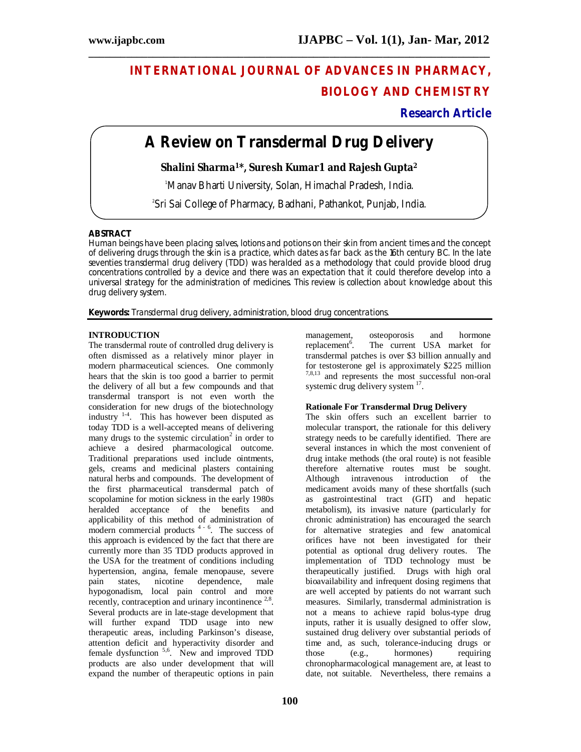# **INTERNATIONAL JOURNAL OF ADVANCES IN PHARMACY, BIOLOGY AND CHEMISTRY**

## **Research Article**

## **A Review on Transdermal Drug Delivery**

**\_\_\_\_\_\_\_\_\_\_\_\_\_\_\_\_\_\_\_\_\_\_\_\_\_\_\_\_\_\_\_\_\_\_\_\_\_\_\_\_\_\_\_\_\_\_\_\_\_\_\_\_\_\_\_\_\_\_\_\_\_\_\_\_\_\_\_\_\_\_\_\_\_\_\_**

**Shalini Sharma1\*, Suresh Kumar1 and Rajesh Gupta<sup>2</sup>**

<sup>1</sup>Manav Bharti University, Solan, Himachal Pradesh, India.

2 Sri Sai College of Pharmacy, Badhani, Pathankot, Punjab, India.

## **ABSTRACT**

Human beings have been placing salves, lotions and potions on their skin from ancient times and the concept of delivering drugs through the skin is a practice, which dates as far back as the 16th century BC. In the late seventies transdermal drug delivery (TDD) was heralded as a methodology that could provide blood drug concentrations controlled by a device and there was an expectation that it could therefore develop into a universal strategy for the administration of medicines. This review is collection about knowledge about this drug delivery system.

**Keywords:** Transdermal drug delivery, administration, blood drug concentrations.

## **INTRODUCTION**

The transdermal route of controlled drug delivery is often dismissed as a relatively minor player in modern pharmaceutical sciences. One commonly hears that the skin is too good a barrier to permit the delivery of all but a few compounds and that transdermal transport is not even worth the consideration for new drugs of the biotechnology industry  $1-4$ . This has however been disputed as today TDD is a well-accepted means of delivering many drugs to the systemic circulation<sup>2</sup> in order to achieve a desired pharmacological outcome. Traditional preparations used include ointments, gels, creams and medicinal plasters containing natural herbs and compounds. The development of the first pharmaceutical transdermal patch of scopolamine for motion sickness in the early 1980s heralded acceptance of the benefits and applicability of this method of administration of modern commercial products  $4 - 6$ . The success of this approach is evidenced by the fact that there are currently more than 35 TDD products approved in the USA for the treatment of conditions including hypertension, angina, female menopause, severe<br>pain states, nicotine dependence, male pain states, nicotine dependence, male hypogonadism, local pain control and more recently, contraception and urinary incontinence <sup>2,8</sup>. Several products are in late-stage development that will further expand TDD usage into new therapeutic areas, including Parkinson's disease, attention deficit and hyperactivity disorder and female dysfunction 5,6. New and improved TDD products are also under development that will expand the number of therapeutic options in pain

management, osteoporosis and hormone replacement<sup>6</sup>. The current USA market for transdermal patches is over \$3 billion annually and for testosterone gel is approximately \$225 million 7,8,13 and represents the most successful non-oral systemic drug delivery system  $17$ .

## **Rationale For Transdermal Drug Delivery**

The skin offers such an excellent barrier to molecular transport, the rationale for this delivery strategy needs to be carefully identified. There are several instances in which the most convenient of drug intake methods (the oral route) is not feasible therefore alternative routes must be sought. Although intravenous introduction of the medicament avoids many of these shortfalls (such as gastrointestinal tract (GIT) and hepatic metabolism), its invasive nature (particularly for chronic administration) has encouraged the search for alternative strategies and few anatomical orifices have not been investigated for their potential as optional drug delivery routes. The implementation of TDD technology must be therapeutically justified. Drugs with high oral bioavailability and infrequent dosing regimens that are well accepted by patients do not warrant such measures. Similarly, transdermal administration is not a means to achieve rapid bolus-type drug inputs, rather it is usually designed to offer slow, sustained drug delivery over substantial periods of time and, as such, tolerance-inducing drugs or those (e.g., hormones) requiring chronopharmacological management are, at least to date, not suitable. Nevertheless, there remains a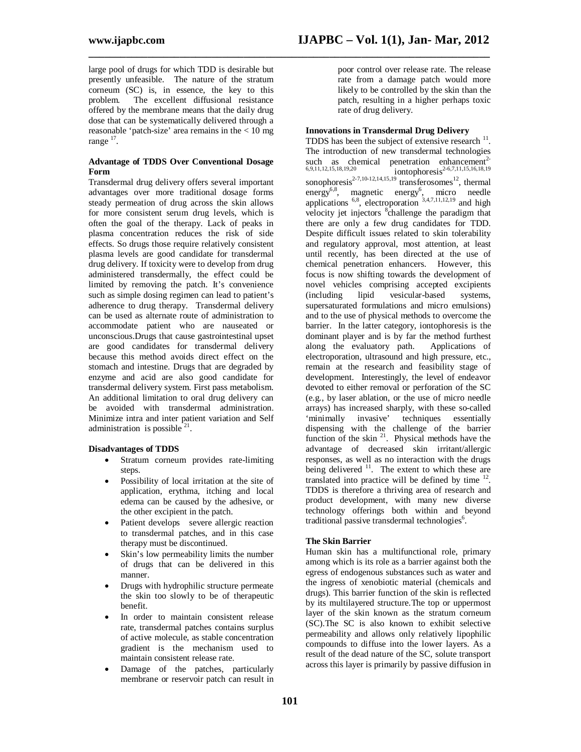large pool of drugs for which TDD is desirable but presently unfeasible. The nature of the stratum corneum (SC) is, in essence, the key to this problem. The excellent diffusional resistance offered by the membrane means that the daily drug dose that can be systematically delivered through a reasonable 'patch-size' area remains in the < 10 mg range <sup>17</sup>.

#### **Advantage of TDDS Over Conventional Dosage Form**

Transdermal drug delivery offers several important advantages over more traditional dosage forms steady permeation of drug across the skin allows for more consistent serum drug levels, which is often the goal of the therapy. Lack of peaks in plasma concentration reduces the risk of side effects. So drugs those require relatively consistent plasma levels are good candidate for transdermal drug delivery. If toxicity were to develop from drug administered transdermally, the effect could be limited by removing the patch. It's convenience such as simple dosing regimen can lead to patient's adherence to drug therapy. Transdermal delivery can be used as alternate route of administration to accommodate patient who are nauseated or unconscious.Drugs that cause gastrointestinal upset are good candidates for transdermal delivery because this method avoids direct effect on the stomach and intestine. Drugs that are degraded by enzyme and acid are also good candidate for transdermal delivery system. First pass metabolism. An additional limitation to oral drug delivery can be avoided with transdermal administration. Minimize intra and inter patient variation and Self administration is possible<sup>21</sup>.

## **Disadvantages of TDDS**

- Stratum corneum provides rate-limiting steps.
- Possibility of local irritation at the site of application, erythma, itching and local edema can be caused by the adhesive, or the other excipient in the patch.
- Patient develops severe allergic reaction to transdermal patches, and in this case therapy must be discontinued.
- Skin's low permeability limits the number of drugs that can be delivered in this manner.
- Drugs with hydrophilic structure permeate the skin too slowly to be of therapeutic benefit.
- In order to maintain consistent release rate, transdermal patches contains surplus of active molecule, as stable concentration gradient is the mechanism used to maintain consistent release rate.
- Damage of the patches, particularly membrane or reservoir patch can result in

poor control over release rate. The release rate from a damage patch would more likely to be controlled by the skin than the patch, resulting in a higher perhaps toxic rate of drug delivery.

## **Innovations in Transdermal Drug Delivery**

TDDS has been the subject of extensive research  $11$ . The introduction of new transdermal technologies such as chemical penetration enhancement<sup>2-</sup> 6,9,11,12,15,18,19,20 **iontophoresis**<sup>2-6,7,11,15,16,18,19</sup>  $\frac{6,9,11,12,15,18,19,20}{\text{ionophoresis}^{2-7,10-12,14,15,19}}$  transferosomes<sup>12</sup>, thermal energy<sup>6,8</sup>, magnetic energy<sup>6</sup>, micro needle applications  $^{6,8}$ , electroporation  $^{3,4,7,11,12,19}$  and high velocity jet injectors <sup>8</sup>challenge the paradigm that there are only a few drug candidates for TDD. Despite difficult issues related to skin tolerability and regulatory approval, most attention, at least until recently, has been directed at the use of chemical penetration enhancers. However, this focus is now shifting towards the development of novel vehicles comprising accepted excipients (including lipid vesicular-based systems, supersaturated formulations and micro emulsions) and to the use of physical methods to overcome the barrier. In the latter category, iontophoresis is the dominant player and is by far the method furthest<br>along the evaluatory path. Applications of along the evaluatory path. electroporation, ultrasound and high pressure, etc., remain at the research and feasibility stage of development. Interestingly, the level of endeavor devoted to either removal or perforation of the SC (e.g., by laser ablation, or the use of micro needle arrays) has increased sharply, with these so-called<br>
'minimally invasive' techniques essentially techniques essentially dispensing with the challenge of the barrier function of the skin  $2^1$ . Physical methods have the advantage of decreased skin irritant/allergic responses, as well as no interaction with the drugs being delivered  $11$ . The extent to which these are translated into practice will be defined by time  $12$ . TDDS is therefore a thriving area of research and product development, with many new diverse technology offerings both within and beyond traditional passive transdermal technologies<sup>6</sup>.

## **The Skin Barrier**

Human skin has a multifunctional role, primary among which is its role as a barrier against both the egress of endogenous substances such as water and the ingress of xenobiotic material (chemicals and drugs). This barrier function of the skin is reflected by its multilayered structure.The top or uppermost layer of the skin known as the stratum corneum (SC).The SC is also known to exhibit selective permeability and allows only relatively lipophilic compounds to diffuse into the lower layers. As a result of the dead nature of the SC, solute transport across this layer is primarily by passive diffusion in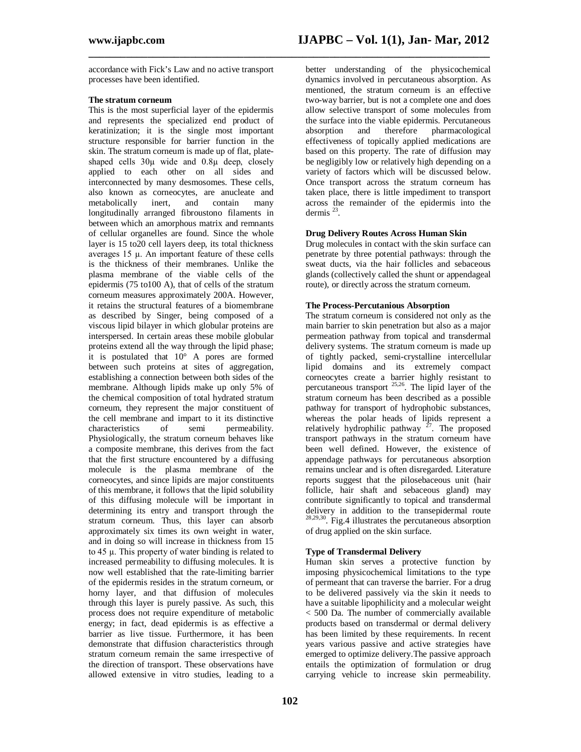accordance with Fick's Law and no active transport processes have been identified.

#### **The stratum corneum**

This is the most superficial layer of the epidermis and represents the specialized end product of keratinization; it is the single most important structure responsible for barrier function in the skin. The stratum corneum is made up of flat, plateshaped cells  $30\mu$  wide and  $0.8\mu$  deep, closely applied to each other on all sides and interconnected by many desmosomes. These cells, also known as corneocytes, are anucleate and metabolically inert, and contain many longitudinally arranged fibroustono filaments in between which an amorphous matrix and remnants of cellular organelles are found. Since the whole layer is 15 to20 cell layers deep, its total thickness averages  $15 \mu$ . An important feature of these cells is the thickness of their membranes. Unlike the plasma membrane of the viable cells of the epidermis (75 to100 A), that of cells of the stratum corneum measures approximately 200A. However, it retains the structural features of a biomembrane as described by Singer, being composed of a viscous lipid bilayer in which globular proteins are interspersed. In certain areas these mobile globular proteins extend all the way through the lipid phase; it is postulated that 10° A pores are formed between such proteins at sites of aggregation, establishing a connection between both sides of the membrane. Although lipids make up only 5% of the chemical composition of total hydrated stratum corneum, they represent the major constituent of the cell membrane and impart to it its distinctive characteristics of semi permeability. Physiologically, the stratum corneum behaves like a composite membrane, this derives from the fact that the first structure encountered by a diffusing molecule is the plasma membrane of the corneocytes, and since lipids are major constituents of this membrane, it follows that the lipid solubility of this diffusing molecule will be important in determining its entry and transport through the stratum corneum. Thus, this layer can absorb approximately six times its own weight in water, and in doing so will increase in thickness from 15 to 45 µ. This property of water binding is related to increased permeability to diffusing molecules. It is now well established that the rate-limiting barrier of the epidermis resides in the stratum corneum, or horny layer, and that diffusion of molecules through this layer is purely passive. As such, this process does not require expenditure of metabolic energy; in fact, dead epidermis is as effective a barrier as live tissue. Furthermore, it has been demonstrate that diffusion characteristics through stratum corneum remain the same irrespective of the direction of transport. These observations have allowed extensive in vitro studies, leading to a

better understanding of the physicochemical dynamics involved in percutaneous absorption. As mentioned, the stratum corneum is an effective two-way barrier, but is not a complete one and does allow selective transport of some molecules from the surface into the viable epidermis. Percutaneous<br>absorption and therefore pharmacological absorption and therefore pharmacological effectiveness of topically applied medications are based on this property. The rate of diffusion may be negligibly low or relatively high depending on a variety of factors which will be discussed below. Once transport across the stratum corneum has taken place, there is little impediment to transport across the remainder of the epidermis into the dermis  $^{23}$ .

#### **Drug Delivery Routes Across Human Skin**

Drug molecules in contact with the skin surface can penetrate by three potential pathways: through the sweat ducts, via the hair follicles and sebaceous glands (collectively called the shunt or appendageal route), or directly across the stratum corneum.

#### **The Process-Percutanious Absorption**

The stratum corneum is considered not only as the main barrier to skin penetration but also as a major permeation pathway from topical and transdermal delivery systems. The stratum corneum is made up of tightly packed, semi-crystalline intercellular lipid domains and its extremely compact corneocytes create a barrier highly resistant to percutaneous transport  $25,26$ . The lipid layer of the stratum corneum has been described as a possible pathway for transport of hydrophobic substances, whereas the polar heads of lipids represent a relatively hydrophilic pathway  $^{27}$ . The proposed transport pathways in the stratum corneum have been well defined. However, the existence of appendage pathways for percutaneous absorption remains unclear and is often disregarded. Literature reports suggest that the pilosebaceous unit (hair follicle, hair shaft and sebaceous gland) may contribute significantly to topical and transdermal delivery in addition to the transepidermal route 28,29,30. Fig.4 illustrates the percutaneous absorption of drug applied on the skin surface.

#### **Type of Transdermal Delivery**

Human skin serves a protective function by imposing physicochemical limitations to the type of permeant that can traverse the barrier. For a drug to be delivered passively via the skin it needs to have a suitable lipophilicity and a molecular weight < 500 Da. The number of commercially available products based on transdermal or dermal delivery has been limited by these requirements. In recent years various passive and active strategies have emerged to optimize delivery.The passive approach entails the optimization of formulation or drug carrying vehicle to increase skin permeability.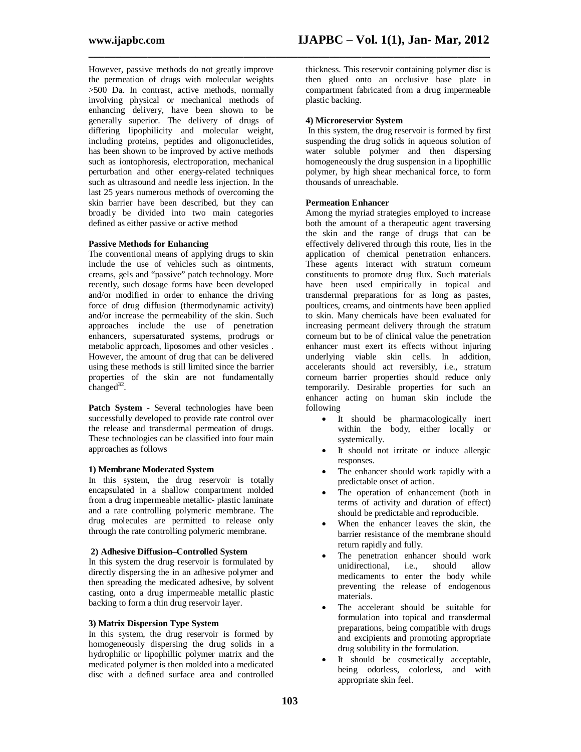However, passive methods do not greatly improve the permeation of drugs with molecular weights >500 Da. In contrast, active methods, normally involving physical or mechanical methods of enhancing delivery, have been shown to be generally superior. The delivery of drugs of differing lipophilicity and molecular weight, including proteins, peptides and oligonucletides, has been shown to be improved by active methods such as iontophoresis, electroporation, mechanical perturbation and other energy-related techniques such as ultrasound and needle less injection. In the last 25 years numerous methods of overcoming the skin barrier have been described, but they can broadly be divided into two main categories defined as either passive or active method

#### **Passive Methods for Enhancing**

The conventional means of applying drugs to skin include the use of vehicles such as ointments, creams, gels and "passive" patch technology. More recently, such dosage forms have been developed and/or modified in order to enhance the driving force of drug diffusion (thermodynamic activity) and/or increase the permeability of the skin. Such approaches include the use of penetration enhancers, supersaturated systems, prodrugs or metabolic approach, liposomes and other vesicles . However, the amount of drug that can be delivered using these methods is still limited since the barrier properties of the skin are not fundamentally  $c$ hanged<sup>32</sup>.

**Patch System** - Several technologies have been successfully developed to provide rate control over the release and transdermal permeation of drugs. These technologies can be classified into four main approaches as follows

## **1) Membrane Moderated System**

In this system, the drug reservoir is totally encapsulated in a shallow compartment molded from a drug impermeable metallic- plastic laminate and a rate controlling polymeric membrane. The drug molecules are permitted to release only through the rate controlling polymeric membrane.

#### **2) Adhesive Diffusion–Controlled System**

In this system the drug reservoir is formulated by directly dispersing the in an adhesive polymer and then spreading the medicated adhesive, by solvent casting, onto a drug impermeable metallic plastic backing to form a thin drug reservoir layer.

## **3) Matrix Dispersion Type System**

In this system, the drug reservoir is formed by homogeneously dispersing the drug solids in a hydrophilic or lipophillic polymer matrix and the medicated polymer is then molded into a medicated disc with a defined surface area and controlled

thickness. This reservoir containing polymer disc is then glued onto an occlusive base plate in compartment fabricated from a drug impermeable plastic backing.

## **4) Microreservior System**

**\_\_\_\_\_\_\_\_\_\_\_\_\_\_\_\_\_\_\_\_\_\_\_\_\_\_\_\_\_\_\_\_\_\_\_\_\_\_\_\_\_\_\_\_\_\_\_\_\_\_\_\_\_\_\_\_\_\_\_\_\_\_\_\_\_\_\_\_\_\_\_\_\_\_\_**

In this system, the drug reservoir is formed by first suspending the drug solids in aqueous solution of water soluble polymer and then dispersing homogeneously the drug suspension in a lipophillic polymer, by high shear mechanical force, to form thousands of unreachable.

## **Permeation Enhancer**

Among the myriad strategies employed to increase both the amount of a therapeutic agent traversing the skin and the range of drugs that can be effectively delivered through this route, lies in the application of chemical penetration enhancers. These agents interact with stratum corneum constituents to promote drug flux. Such materials have been used empirically in topical and transdermal preparations for as long as pastes, poultices, creams, and ointments have been applied to skin. Many chemicals have been evaluated for increasing permeant delivery through the stratum corneum but to be of clinical value the penetration enhancer must exert its effects without injuring underlying viable skin cells. In addition, accelerants should act reversibly, i.e., stratum corneum barrier properties should reduce only temporarily. Desirable properties for such an enhancer acting on human skin include the following

- It should be pharmacologically inert within the body, either locally or systemically.
- It should not irritate or induce allergic responses.
- The enhancer should work rapidly with a predictable onset of action.
- The operation of enhancement (both in terms of activity and duration of effect) should be predictable and reproducible.
- When the enhancer leaves the skin, the barrier resistance of the membrane should return rapidly and fully.
- The penetration enhancer should work<br>unidirectional, i.e., should allow unidirectional, i.e., should medicaments to enter the body while preventing the release of endogenous materials.
- The accelerant should be suitable for formulation into topical and transdermal preparations, being compatible with drugs and excipients and promoting appropriate drug solubility in the formulation.
- It should be cosmetically acceptable, being odorless, colorless, and with appropriate skin feel.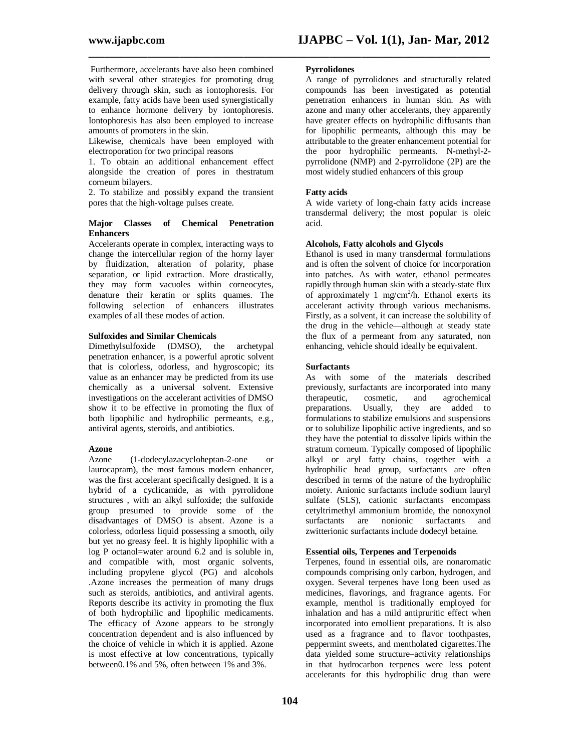Furthermore, accelerants have also been combined with several other strategies for promoting drug delivery through skin, such as iontophoresis. For example, fatty acids have been used synergistically to enhance hormone delivery by iontophoresis. Iontophoresis has also been employed to increase amounts of promoters in the skin.

Likewise, chemicals have been employed with electroporation for two principal reasons

1. To obtain an additional enhancement effect alongside the creation of pores in thestratum corneum bilayers.

2. To stabilize and possibly expand the transient pores that the high-voltage pulses create.

#### **Major Classes of Chemical Penetration Enhancers**

Accelerants operate in complex, interacting ways to change the intercellular region of the horny layer by fluidization, alteration of polarity, phase separation, or lipid extraction. More drastically, they may form vacuoles within corneocytes, denature their keratin or splits quames. The following selection of enhancers illustrates examples of all these modes of action.

#### **Sulfoxides and Similar Chemicals**

Dimethylsulfoxide (DMSO), the archetypal penetration enhancer, is a powerful aprotic solvent that is colorless, odorless, and hygroscopic; its value as an enhancer may be predicted from its use chemically as a universal solvent. Extensive investigations on the accelerant activities of DMSO show it to be effective in promoting the flux of both lipophilic and hydrophilic permeants, e.g., antiviral agents, steroids, and antibiotics.

#### **Azone**

Azone (1-dodecylazacycloheptan-2-one or laurocapram), the most famous modern enhancer, was the first accelerant specifically designed. It is a hybrid of a cyclicamide, as with pyrrolidone structures , with an alkyl sulfoxide; the sulfoxide group presumed to provide some of the disadvantages of DMSO is absent. Azone is a colorless, odorless liquid possessing a smooth, oily but yet no greasy feel. It is highly lipophilic with a log P octanol=water around 6.2 and is soluble in, and compatible with, most organic solvents, including propylene glycol (PG) and alcohols .Azone increases the permeation of many drugs such as steroids, antibiotics, and antiviral agents. Reports describe its activity in promoting the flux of both hydrophilic and lipophilic medicaments. The efficacy of Azone appears to be strongly concentration dependent and is also influenced by the choice of vehicle in which it is applied. Azone is most effective at low concentrations, typically between0.1% and 5%, often between 1% and 3%.

## **Pyrrolidones**

**\_\_\_\_\_\_\_\_\_\_\_\_\_\_\_\_\_\_\_\_\_\_\_\_\_\_\_\_\_\_\_\_\_\_\_\_\_\_\_\_\_\_\_\_\_\_\_\_\_\_\_\_\_\_\_\_\_\_\_\_\_\_\_\_\_\_\_\_\_\_\_\_\_\_\_**

A range of pyrrolidones and structurally related compounds has been investigated as potential penetration enhancers in human skin. As with azone and many other accelerants, they apparently have greater effects on hydrophilic diffusants than for lipophilic permeants, although this may be attributable to the greater enhancement potential for the poor hydrophilic permeants. N-methyl-2 pyrrolidone (NMP) and 2-pyrrolidone (2P) are the most widely studied enhancers of this group

#### **Fatty acids**

A wide variety of long-chain fatty acids increase transdermal delivery; the most popular is oleic acid.

#### **Alcohols, Fatty alcohols and Glycols**

Ethanol is used in many transdermal formulations and is often the solvent of choice for incorporation into patches. As with water, ethanol permeates rapidly through human skin with a steady-state flux of approximately 1 mg/cm<sup>2</sup>/h. Ethanol exerts its accelerant activity through various mechanisms. Firstly, as a solvent, it can increase the solubility of the drug in the vehicle—although at steady state the flux of a permeant from any saturated, non enhancing, vehicle should ideally be equivalent.

#### **Surfactants**

As with some of the materials described previously, surfactants are incorporated into many<br>therapeutic, cosmetic, and agrochemical therapeutic, cosmetic, and agrochemical<br>preparations. Usually, they are added to Usually, they are added to formulations to stabilize emulsions and suspensions or to solubilize lipophilic active ingredients, and so they have the potential to dissolve lipids within the stratum corneum. Typically composed of lipophilic alkyl or aryl fatty chains, together with a hydrophilic head group, surfactants are often described in terms of the nature of the hydrophilic moiety. Anionic surfactants include sodium lauryl sulfate (SLS), cationic surfactants encompass cetyltrimethyl ammonium bromide, the nonoxynol surfactants are nonionic surfactants and zwitterionic surfactants include dodecyl betaine.

#### **Essential oils, Terpenes and Terpenoids**

Terpenes, found in essential oils, are nonaromatic compounds comprising only carbon, hydrogen, and oxygen. Several terpenes have long been used as medicines, flavorings, and fragrance agents. For example, menthol is traditionally employed for inhalation and has a mild antipruritic effect when incorporated into emollient preparations. It is also used as a fragrance and to flavor toothpastes, peppermint sweets, and mentholated cigarettes.The data yielded some structure–activity relationships in that hydrocarbon terpenes were less potent accelerants for this hydrophilic drug than were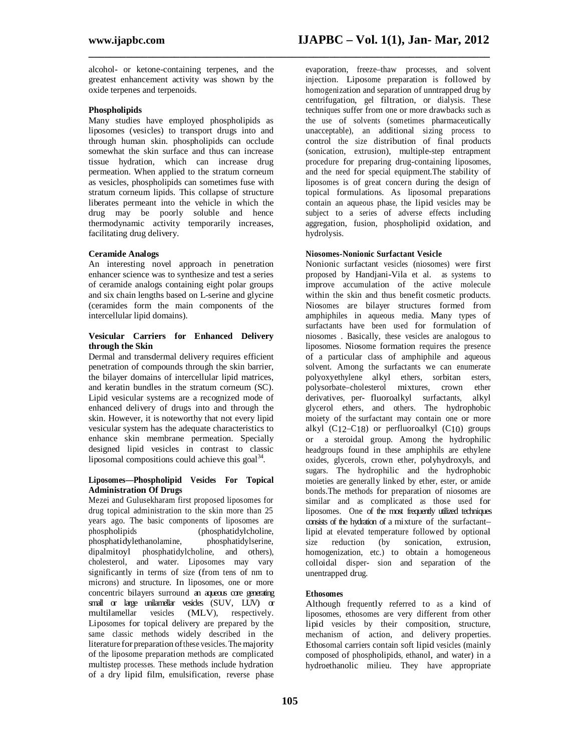#### **Phospholipids**

Many studies have employed phospholipids as liposomes (vesicles) to transport drugs into and through human skin. phospholipids can occlude somewhat the skin surface and thus can increase tissue hydration, which can increase drug permeation. When applied to the stratum corneum as vesicles, phospholipids can sometimes fuse with stratum corneum lipids. This collapse of structure liberates permeant into the vehicle in which the drug may be poorly soluble and hence thermodynamic activity temporarily increases, facilitating drug delivery.

## **Ceramide Analogs**

An interesting novel approach in penetration enhancer science was to synthesize and test a series of ceramide analogs containing eight polar groups and six chain lengths based on L-serine and glycine (ceramides form the main components of the intercellular lipid domains).

## **Vesicular Carriers for Enhanced Delivery through the Skin**

Dermal and transdermal delivery requires efficient penetration of compounds through the skin barrier, the bilayer domains of intercellular lipid matrices, and keratin bundles in the stratum corneum (SC). Lipid vesicular systems are a recognized mode of enhanced delivery of drugs into and through the skin. However, it is noteworthy that not every lipid vesicular system has the adequate characteristics to enhance skin membrane permeation. Specially designed lipid vesicles in contrast to classic liposomal compositions could achieve this goal $^{34}$ .

#### **Liposomes—Phospholipid Vesicles For Topical Administration Of Drugs**

Mezei and Gulusekharam first proposed liposomes for drug topical administration to the skin more than 25 years ago. The basic components of liposomes are (phosphatidylcholine, phosphatidylethanolamine, phosphatidylserine, dipalmitoyl phosphatidylcholine, and others), cholesterol, and water. Liposomes may vary significantly in terms of size (from tens of nm to microns) and structure. In liposomes, one or more concentric bilayers surround an aqueous core generating small or large unilamellar vesicles (SUV, LUV) or multilamellar vesicles (MLV), respectively. Liposomes for topical delivery are prepared by the same classic methods widely described in the literature forpreparation ofthese vesicles. The majority of the liposome preparation methods are complicated multistep processes. These methods include hydration of a dry lipid film, emulsification, reverse phase

evaporation, freeze–thaw processes, and solvent injection. Liposome preparation is followed by homogenization and separation of unntrapped drug by centrifugation, gel filtration, or dialysis. These techniques suffer from one or more drawbacks such as the use of solvents (sometimes pharmaceutically unacceptable), an additional sizing process to control the size distribution of final products (sonication, extrusion), multiple-step entrapment procedure for preparing drug-containing liposomes, and the need for special equipment.The stability of liposomes is of great concern during the design of topical formulations. As liposomal preparations contain an aqueous phase, the lipid vesicles may be subject to a series of adverse effects including aggregation, fusion, phospholipid oxidation, and hydrolysis.

## **Niosomes-Nonionic Surfactant Vesicle**

Nonionic surfactant vesicles (niosomes) were first proposed by Handjani-Vila et al. as systems to improve accumulation of the active molecule within the skin and thus benefit cosmetic products. Niosomes are bilayer structures formed from amphiphiles in aqueous media. Many types of surfactants have been used for formulation of niosomes . Basically, these vesicles are analogous to liposomes. Niosome formation requires the presence of a particular class of amphiphile and aqueous solvent. Among the surfactants we can enumerate polyoxyethylene alkyl ethers, sorbitan esters, polysorbate–cholesterol mixtures, crown ether derivatives, per- fluoroalkyl surfactants, alkyl glycerol ethers, and others. The hydrophobic moiety of the surfactant may contain one or more alkyl  $(C12-C18)$  or perfluoroalkyl  $(C10)$  groups or a steroidal group. Among the hydrophilic headgroups found in these amphiphils are ethylene oxides, glycerols, crown ether, polyhydroxyls, and sugars. The hydrophilic and the hydrophobic moieties are generally linked by ether, ester, or amide bonds.The methods for preparation of niosomes are similar and as complicated as those used for liposomes. One of the most frequently utilized techniques consists of the hydration of a mixture of the surfactant– lipid at elevated temperature followed by optional<br>size reduction (by sonication, extrusion, sonication. homogenization, etc.) to obtain a homogeneous colloidal disper- sion and separation of the unentrapped drug.

## **Ethosomes**

Although frequently referred to as a kind of liposomes, ethosomes are very different from other lipid vesicles by their composition, structure, mechanism of action, and delivery properties. Ethosomal carriers contain soft lipid vesicles (mainly composed of phospholipids, ethanol, and water) in a hydroethanolic milieu. They have appropriate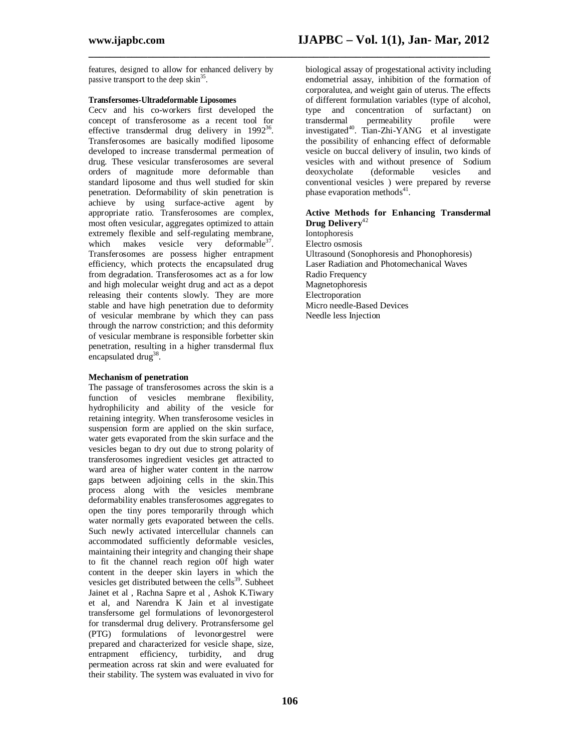features, designed to allow for enhanced delivery by passive transport to the deep skin<sup>35</sup>.

#### **Transfersomes-Ultradeformable Liposomes**

Cecv and his co-workers first developed the concept of transferosome as a recent tool for effective transdermal drug delivery in  $1992^{36}$ . Transferosomes are basically modified liposome developed to increase transdermal permeation of drug. These vesicular transferosomes are several orders of magnitude more deformable than standard liposome and thus well studied for skin penetration. Deformability of skin penetration is achieve by using surface-active agent by appropriate ratio. Transferosomes are complex, most often vesicular, aggregates optimized to attain extremely flexible and self-regulating membrane, which makes vesicle very deformable<sup>37</sup>. Transferosomes are possess higher entrapment efficiency, which protects the encapsulated drug from degradation. Transferosomes act as a for low and high molecular weight drug and act as a depot releasing their contents slowly. They are more stable and have high penetration due to deformity of vesicular membrane by which they can pass through the narrow constriction; and this deformity of vesicular membrane is responsible forbetter skin penetration, resulting in a higher transdermal flux encapsulated drug<sup>38</sup>.

#### **Mechanism of penetration**

The passage of transferosomes across the skin is a function of vesicles membrane flexibility, hydrophilicity and ability of the vesicle for retaining integrity. When transferosome vesicles in suspension form are applied on the skin surface, water gets evaporated from the skin surface and the vesicles began to dry out due to strong polarity of transferosomes ingredient vesicles get attracted to ward area of higher water content in the narrow gaps between adjoining cells in the skin.This process along with the vesicles membrane deformability enables transferosomes aggregates to open the tiny pores temporarily through which water normally gets evaporated between the cells. Such newly activated intercellular channels can accommodated sufficiently deformable vesicles, maintaining their integrity and changing their shape to fit the channel reach region o0f high water content in the deeper skin layers in which the vesicles get distributed between the cells<sup>39</sup>. Subheet Jainet et al , Rachna Sapre et al , Ashok K.Tiwary et al, and Narendra K Jain et al investigate transfersome gel formulations of levonorgesterol for transdermal drug delivery. Protransfersome gel (PTG) formulations of levonorgestrel were prepared and characterized for vesicle shape, size, entrapment efficiency, turbidity, and drug permeation across rat skin and were evaluated for their stability. The system was evaluated in vivo for

biological assay of progestational activity including endometrial assay, inhibition of the formation of corporalutea, and weight gain of uterus. The effects of different formulation variables (type of alcohol, type and concentration of surfactant) on<br>transdermal permeability profile were transdermal permeability profile were investigated<sup>40</sup>. Tian-Zhi-YANG et al investigate the possibility of enhancing effect of deformable vesicle on buccal delivery of insulin, two kinds of vesicles with and without presence of Sodium<br>deoxycholate (deformable vesicles and deoxycholate conventional vesicles ) were prepared by reverse phase evaporation methods<sup>41</sup>.

## **Active Methods for Enhancing Transdermal Drug Delivery**<sup>42</sup>

Iontophoresis Electro osmosis Ultrasound (Sonophoresis and Phonophoresis) Laser Radiation and Photomechanical Waves Radio Frequency Magnetophoresis Electroporation Micro needle-Based Devices Needle less Injection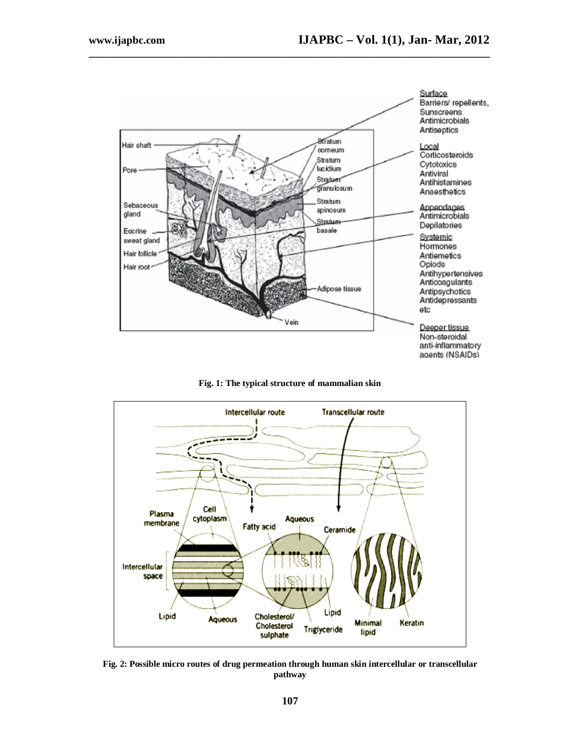

**Fig. 1: The typical structure of mammalian skin**



**Fig. 2: Possible micro routes of drug permeation through human skin intercellular or transcellular pathway**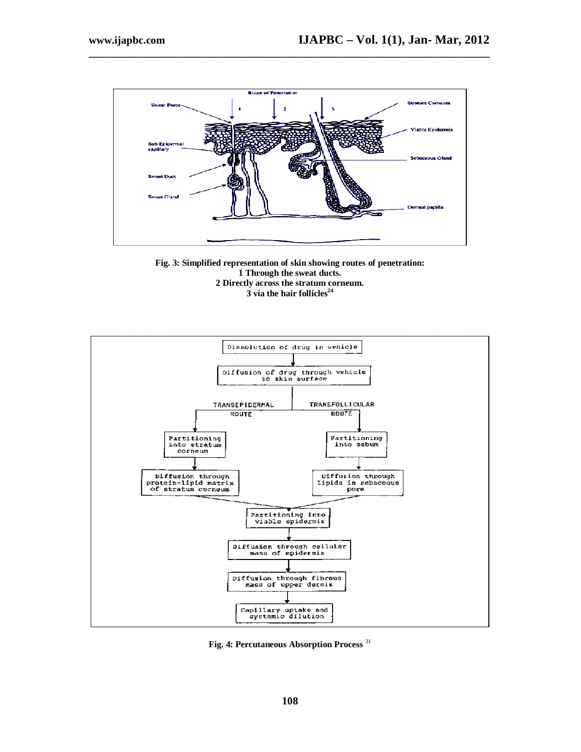

**Fig. 3: Simplified representation of skin showing routes of penetration: 1 Through the sweat ducts. 2 Directly across the stratum corneum. 3 via the hair follicles<sup>24</sup>**



**Fig. 4: Percutaneous Absorption Process** <sup>31</sup>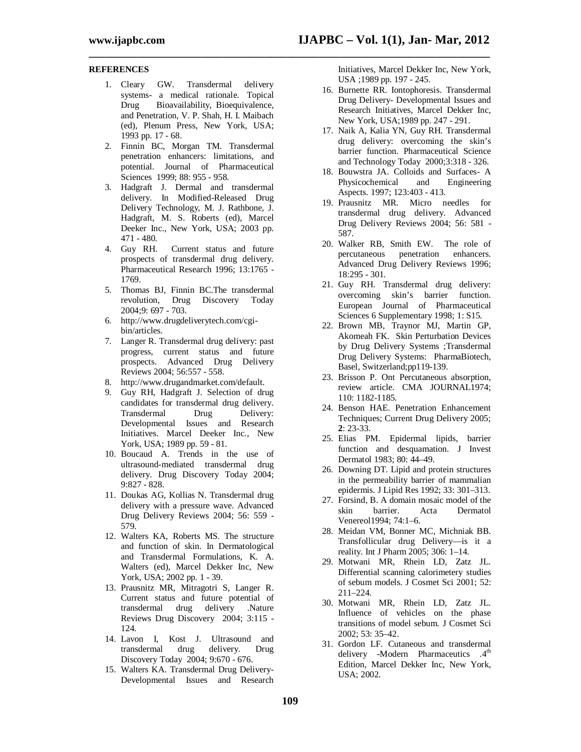## **REFERENCES**

- 1. Cleary GW. Transdermal delivery systems- a medical rationale. Topical Drug Bioavailability, Bioequivalence, and Penetration, V. P. Shah, H. I. Maibach (ed), Plenum Press, New York, USA; 1993 pp. 17 - 68.
- 2. Finnin BC, Morgan TM. Transdermal penetration enhancers: limitations, and potential. Journal of Pharmaceutical Sciences 1999; 88: 955 - 958.
- 3. Hadgraft J. Dermal and transdermal delivery. In Modified-Released Drug Delivery Technology, M. J. Rathbone, J. Hadgraft, M. S. Roberts (ed), Marcel Deeker Inc., New York, USA; 2003 pp. 471 - 480.
- 4. Guy RH. Current status and future prospects of transdermal drug delivery. Pharmaceutical Research 1996; 13:1765 - 1769.
- 5. Thomas BJ, Finnin BC.The transdermal revolution, Drug Discovery Today 2004;9: 697 - 703.
- 6. http://www.drugdeliverytech.com/cgibin/articles.
- 7. Langer R. Transdermal drug delivery: past progress, current status and future prospects. Advanced Drug Delivery Reviews 2004; 56:557 - 558.
- 8. http://www.drugandmarket.com/default.
- 9. Guy RH, Hadgraft J. Selection of drug candidates for transdermal drug delivery. Transdermal Drug Delivery: Developmental Issues and Research Initiatives. Marcel Deeker Inc., New York, USA; 1989 pp. 59 - 81.
- 10. Boucaud A. Trends in the use of ultrasound-mediated transdermal drug delivery. Drug Discovery Today 2004; 9:827 - 828.
- 11. Doukas AG, Kollias N. Transdermal drug delivery with a pressure wave. Advanced Drug Delivery Reviews 2004; 56: 559 - 579.
- 12. Walters KA, Roberts MS. The structure and function of skin. In Dermatological and Transdermal Formulations, K. A. Walters (ed), Marcel Dekker Inc, New York, USA; 2002 pp. 1 - 39.
- 13. Prausnitz MR, Mitragotri S, Langer R. Current status and future potential of transdermal drug delivery .Nature Reviews Drug Discovery 2004; 3:115 - 124.
- 14. Lavon I, Kost J. Ultrasound and transdermal drug delivery. Drug Discovery Today 2004; 9:670 - 676.
- 15. Walters KA. Transdermal Drug Delivery-Developmental Issues and Research

Initiatives, Marcel Dekker Inc, New York, USA ;1989 pp. 197 - 245.

- 16. Burnette RR. Iontophoresis. Transdermal Drug Delivery- Developmental Issues and Research Initiatives, Marcel Dekker Inc, New York, USA;1989 pp. 247 - 291.
- 17. Naik A, Kalia YN, Guy RH. Transdermal drug delivery: overcoming the skin's barrier function. Pharmaceutical Science and Technology Today 2000;3:318 - 326.
- 18. Bouwstra JA. Colloids and Surfaces- A<br>Physicochemical and Engineering Physicochemical Aspects. 1997; 123:403 - 413.
- 19. Prausnitz MR. Micro needles for transdermal drug delivery. Advanced Drug Delivery Reviews 2004; 56: 581 - 587.
- 20. Walker RB, Smith EW. The role of percutaneous penetration enhancers. Advanced Drug Delivery Reviews 1996; 18:295 - 301.
- 21. Guy RH. Transdermal drug delivery: overcoming skin's barrier function. European Journal of Pharmaceutical Sciences 6 Supplementary 1998; 1: S15.
- 22. Brown MB, Traynor MJ, Martin GP, Akomeah FK. Skin Perturbation Devices by Drug Delivery Systems ;Transdermal Drug Delivery Systems: PharmaBiotech, Basel, Switzerland;pp119-139.
- 23. Brisson P. Ont Percutaneous absorption, review article. CMA JOURNAL1974; 110: 1182-1185.
- 24. Benson HAE. Penetration Enhancement Techniques; Current Drug Delivery 2005; **2**: 23-33.
- 25. Elias PM. Epidermal lipids, barrier function and desquamation. J Invest Dermatol 1983; 80: 44–49.
- 26. Downing DT. Lipid and protein structures in the permeability barrier of mammalian epidermis. J Lipid Res 1992; 33: 301–313.
- 27. Forsind, B. A domain mosaic model of the skin barrier. Acta Dermatol Venereol1994; 74:1–6.
- 28. Meidan VM, Bonner MC, Michniak BB. Transfollicular drug Delivery—is it a reality. Int J Pharm 2005; 306: 1–14.
- 29. Motwani MR, Rhein LD, Zatz JL. Differential scanning calorimetery studies of sebum models. J Cosmet Sci 2001; 52: 211–224.
- 30. Motwani MR, Rhein LD, Zatz JL. Influence of vehicles on the phase transitions of model sebum. J Cosmet Sci 2002; 53: 35–42.
- 31. Gordon LF. Cutaneous and transdermal delivery -Modern Pharmaceutics .4<sup>th</sup> Edition, Marcel Dekker Inc, New York, USA; 2002.